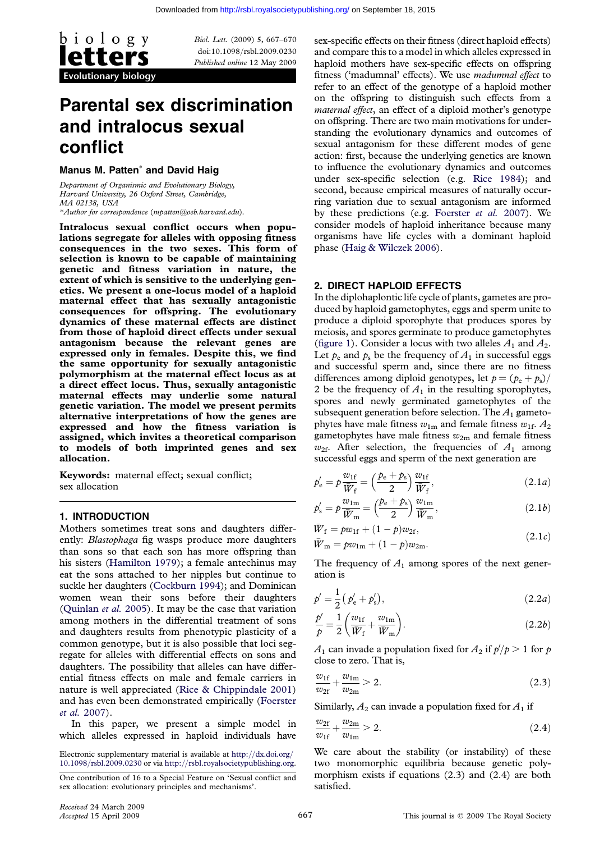

Biol. Lett. (2009) 5, 667–670 doi:10.1098/rsbl.2009.0230 Published online 12 May 2009

# Parental sex discrimination and intralocus sexual conflict

### Manus M. Patten\* and David Haig

Department of Organismic and Evolutionary Biology, Harvard University, 26 Oxford Street, Cambridge, MA 02138, USA \*Author for correspondence ([mpatten@oeb.harvard.edu](mailto:mpatten@oeb.harvard.edu)).

Intralocus sexual conflict occurs when populations segregate for alleles with opposing fitness consequences in the two sexes. This form of selection is known to be capable of maintaining genetic and fitness variation in nature, the extent of which is sensitive to the underlying genetics. We present a one-locus model of a haploid maternal effect that has sexually antagonistic consequences for offspring. The evolutionary dynamics of these maternal effects are distinct from those of haploid direct effects under sexual antagonism because the relevant genes are expressed only in females. Despite this, we find the same opportunity for sexually antagonistic polymorphism at the maternal effect locus as at a direct effect locus. Thus, sexually antagonistic maternal effects may underlie some natural genetic variation. The model we present permits alternative interpretations of how the genes are expressed and how the fitness variation is assigned, which invites a theoretical comparison to models of both imprinted genes and sex allocation.

Keywords: maternal effect; sexual conflict; sex allocation

# 1. INTRODUCTION

Mothers sometimes treat sons and daughters differently: Blastophaga fig wasps produce more daughters than sons so that each son has more offspring than his sisters [\(Hamilton 1979\)](#page-3-0); a female antechinus may eat the sons attached to her nipples but continue to suckle her daughters [\(Cockburn 1994\)](#page-2-0); and Dominican women wean their sons before their daughters [\(Quinlan](#page-3-0) et al. 2005). It may be the case that variation among mothers in the differential treatment of sons and daughters results from phenotypic plasticity of a common genotype, but it is also possible that loci segregate for alleles with differential effects on sons and daughters. The possibility that alleles can have differential fitness effects on male and female carriers in nature is well appreciated [\(Rice & Chippindale 2001\)](#page-3-0) and has even been demonstrated empirically ([Foerster](#page-2-0) et al. [2007\)](#page-2-0).

In this paper, we present a simple model in which alleles expressed in haploid individuals have

Electronic supplementary material is available at [http:](http://dx.doi.org/10.1098/rsbl.2009.0230)//[dx.doi.org](http://dx.doi.org/10.1098/rsbl.2009.0230)/ 10.1098/[rsbl.2009.0230](http://dx.doi.org/10.1098/rsbl.2009.0230) or via [http:](http://rsbl.royalsocietypublishing.org)//[rsbl.royalsocietypublishing.org](http://rsbl.royalsocietypublishing.org). sex-specific effects on their fitness (direct haploid effects) and compare this to a model in which alleles expressed in haploid mothers have sex-specific effects on offspring fitness ('madumnal' effects). We use madumnal effect to refer to an effect of the genotype of a haploid mother on the offspring to distinguish such effects from a maternal effect, an effect of a diploid mother's genotype on offspring. There are two main motivations for understanding the evolutionary dynamics and outcomes of sexual antagonism for these different modes of gene action: first, because the underlying genetics are known to influence the evolutionary dynamics and outcomes under sex-specific selection (e.g. [Rice 1984\)](#page-3-0); and second, because empirical measures of naturally occurring variation due to sexual antagonism are informed by these predictions (e.g. [Foerster](#page-2-0) et al. 2007). We consider models of haploid inheritance because many organisms have life cycles with a dominant haploid phase [\(Haig & Wilczek 2006\)](#page-3-0).

# 2. DIRECT HAPLOID EFFECTS

In the diplohaplontic life cycle of plants, gametes are produced by haploid gametophytes, eggs and sperm unite to produce a diploid sporophyte that produces spores by meiosis, and spores germinate to produce gametophytes [\(figure 1](#page-1-0)). Consider a locus with two alleles  $A_1$  and  $A_2$ . Let  $p_e$  and  $p_s$  be the frequency of  $A_1$  in successful eggs and successful sperm and, since there are no fitness differences among diploid genotypes, let  $p = (p_e + p_s)$ / 2 be the frequency of  $A_1$  in the resulting sporophytes, spores and newly germinated gametophytes of the subsequent generation before selection. The  $A_1$  gametophytes have male fitness  $w_{1m}$  and female fitness  $w_{1f}$ .  $A_2$ gametophytes have male fitness  $w_{2m}$  and female fitness  $w_{2f}$ . After selection, the frequencies of  $A_1$  among successful eggs and sperm of the next generation are

$$
p'_{\rm e} = p \frac{w_{\rm 1f}}{\overline{W}_{\rm f}} = \left(\frac{p_{\rm e} + p_{\rm s}}{2}\right) \frac{w_{\rm 1f}}{\overline{W}_{\rm f}},\tag{2.1a}
$$

$$
p'_{s} = p \frac{w_{1m}}{\overline{W}_{m}} = \left(\frac{p_{e} + p_{s}}{2}\right) \frac{w_{1m}}{\overline{W}_{m}},\tag{2.1b}
$$

$$
W_{\rm f} = p w_{\rm 1f} + (1 - p) w_{\rm 2f}, \n\bar{W}_{\rm m} = p w_{\rm 1m} + (1 - p) w_{\rm 2m}.
$$
\n(2.1*c*)

The frequency of  $A_1$  among spores of the next generation is

$$
p' = \frac{1}{2} (p'_{e} + p'_{s}), \qquad (2.2a)
$$

$$
\frac{p'}{p} = \frac{1}{2} \left( \frac{w_{\text{1f}}}{\overline{W}_{\text{f}}} + \frac{w_{\text{1m}}}{\overline{W}_{\text{m}}} \right). \tag{2.2b}
$$

 $A_1$  can invade a population fixed for  $A_2$  if  $p'/p > 1$  for  $p$ close to zero. That is,

$$
\frac{w_{\rm 1f}}{w_{\rm 2f}} + \frac{w_{\rm 1m}}{w_{\rm 2m}} > 2.
$$
 (2.3)

Similarly,  $A_2$  can invade a population fixed for  $A_1$  if

$$
\frac{w_{2f}}{w_{1f}} + \frac{w_{2m}}{w_{1m}} > 2.
$$
 (2.4)

We care about the stability (or instability) of these two monomorphic equilibria because genetic polymorphism exists if equations (2.3) and (2.4) are both satisfied.

One contribution of 16 to a Special Feature on 'Sexual conflict and sex allocation: evolutionary principles and mechanisms'.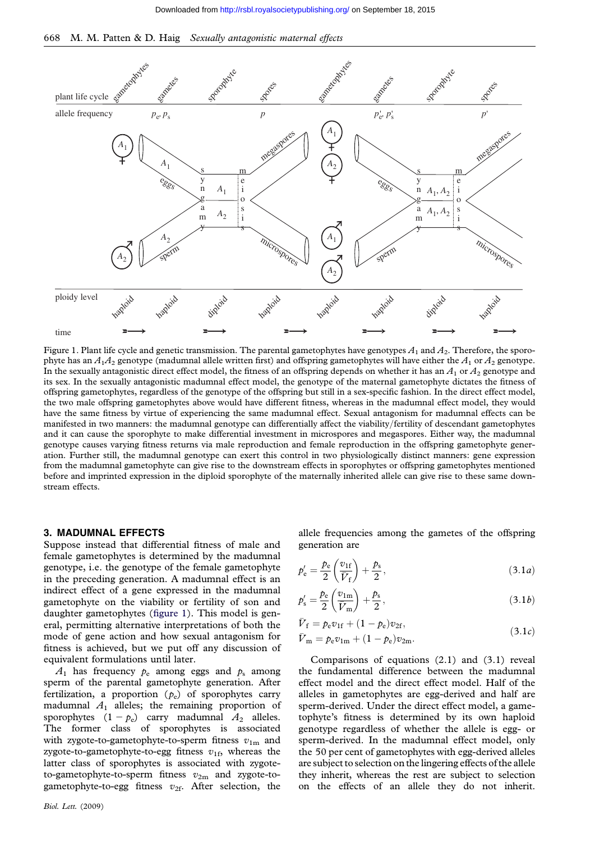<span id="page-1-0"></span>



Figure 1. Plant life cycle and genetic transmission. The parental gametophytes have genotypes  $A_1$  and  $A_2$ . Therefore, the sporophyte has an  $A_1A_2$  genotype (madumnal allele written first) and offspring gametophytes will have either the  $A_1$  or  $A_2$  genotype. In the sexually antagonistic direct effect model, the fitness of an offspring depends on whether it has an  $A_1$  or  $A_2$  genotype and its sex. In the sexually antagonistic madumnal effect model, the genotype of the maternal gametophyte dictates the fitness of offspring gametophytes, regardless of the genotype of the offspring but still in a sex-specific fashion. In the direct effect model, the two male offspring gametophytes above would have different fitness, whereas in the madumnal effect model, they would have the same fitness by virtue of experiencing the same madumnal effect. Sexual antagonism for madumnal effects can be manifested in two manners: the madumnal genotype can differentially affect the viability/fertility of descendant gametophytes and it can cause the sporophyte to make differential investment in microspores and megaspores. Either way, the madumnal genotype causes varying fitness returns via male reproduction and female reproduction in the offspring gametophyte generation. Further still, the madumnal genotype can exert this control in two physiologically distinct manners: gene expression from the madumnal gametophyte can give rise to the downstream effects in sporophytes or offspring gametophytes mentioned before and imprinted expression in the diploid sporophyte of the maternally inherited allele can give rise to these same downstream effects.

#### 3. MADUMNAL EFFECTS

Suppose instead that differential fitness of male and female gametophytes is determined by the madumnal genotype, i.e. the genotype of the female gametophyte in the preceding generation. A madumnal effect is an indirect effect of a gene expressed in the madumnal gametophyte on the viability or fertility of son and daughter gametophytes (figure 1). This model is general, permitting alternative interpretations of both the mode of gene action and how sexual antagonism for fitness is achieved, but we put off any discussion of equivalent formulations until later.

 $A_1$  has frequency  $p_e$  among eggs and  $p_s$  among sperm of the parental gametophyte generation. After fertilization, a proportion  $(p_e)$  of sporophytes carry madumnal  $A_1$  alleles; the remaining proportion of sporophytes  $(1 - p_e)$  carry madumnal  $A_2$  alleles. The former class of sporophytes is associated with zygote-to-gametophyte-to-sperm fitness  $v_{1m}$  and zygote-to-gametophyte-to-egg fitness  $v_{1f}$ , whereas the latter class of sporophytes is associated with zygoteto-gametophyte-to-sperm fitness  $v_{2m}$  and zygote-togametophyte-to-egg fitness  $v_{2f}$ . After selection, the

allele frequencies among the gametes of the offspring generation are

$$
p'_{\rm e} = \frac{p_{\rm e}}{2} \left( \frac{v_{\rm 1f}}{\overline{V}_{\rm f}} \right) + \frac{p_{\rm s}}{2},\tag{3.1a}
$$

$$
p'_{s} = \frac{p_{e}}{2} \left(\frac{v_{1m}}{\bar{V}_{m}}\right) + \frac{p_{s}}{2},\tag{3.1b}
$$

$$
\bar{V}_{\rm f} = p_{\rm e} v_{1{\rm f}} + (1 - p_{\rm e}) v_{2{\rm f}}, \n\bar{V}_{\rm m} = p_{\rm e} v_{1{\rm m}} + (1 - p_{\rm e}) v_{2{\rm m}}.
$$
\n(3.1*c*)

Comparisons of equations (2.1) and (3.1) reveal the fundamental difference between the madumnal effect model and the direct effect model. Half of the alleles in gametophytes are egg-derived and half are sperm-derived. Under the direct effect model, a gametophyte's fitness is determined by its own haploid genotype regardless of whether the allele is egg- or sperm-derived. In the madumnal effect model, only the 50 per cent of gametophytes with egg-derived alleles are subject to selection on the lingering effects of the allele they inherit, whereas the rest are subject to selection on the effects of an allele they do not inherit.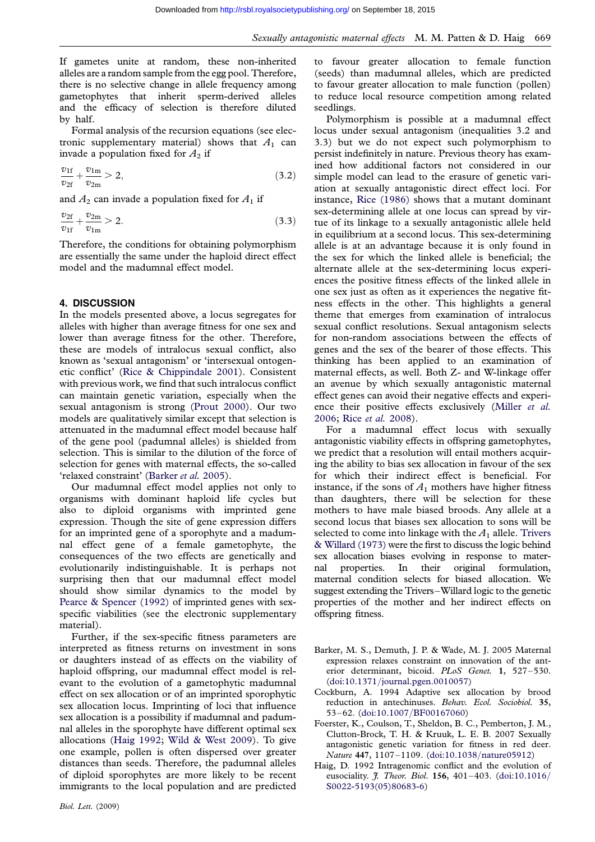<span id="page-2-0"></span>If gametes unite at random, these non-inherited alleles are a random sample from the egg pool. Therefore, there is no selective change in allele frequency among gametophytes that inherit sperm-derived alleles and the efficacy of selection is therefore diluted by half.

Formal analysis of the recursion equations (see electronic supplementary material) shows that  $A_1$  can invade a population fixed for  $A_2$  if

$$
\frac{v_{1f}}{v_{2f}} + \frac{v_{1m}}{v_{2m}} > 2, \tag{3.2}
$$

and  $A_2$  can invade a population fixed for  $A_1$  if

$$
\frac{v_{2f}}{v_{1f}} + \frac{v_{2m}}{v_{1m}} > 2.
$$
\n(3.3)

Therefore, the conditions for obtaining polymorphism are essentially the same under the haploid direct effect model and the madumnal effect model.

### 4. DISCUSSION

In the models presented above, a locus segregates for alleles with higher than average fitness for one sex and lower than average fitness for the other. Therefore, these are models of intralocus sexual conflict, also known as 'sexual antagonism' or 'intersexual ontogenetic conflict' ([Rice & Chippindale 2001\)](#page-3-0). Consistent with previous work, we find that such intralocus conflict can maintain genetic variation, especially when the sexual antagonism is strong [\(Prout 2000\)](#page-3-0). Our two models are qualitatively similar except that selection is attenuated in the madumnal effect model because half of the gene pool (padumnal alleles) is shielded from selection. This is similar to the dilution of the force of selection for genes with maternal effects, the so-called 'relaxed constraint' (Barker et al. 2005).

Our madumnal effect model applies not only to organisms with dominant haploid life cycles but also to diploid organisms with imprinted gene expression. Though the site of gene expression differs for an imprinted gene of a sporophyte and a madumnal effect gene of a female gametophyte, the consequences of the two effects are genetically and evolutionarily indistinguishable. It is perhaps not surprising then that our madumnal effect model should show similar dynamics to the model by [Pearce & Spencer \(1992\)](#page-3-0) of imprinted genes with sexspecific viabilities (see the electronic supplementary material).

Further, if the sex-specific fitness parameters are interpreted as fitness returns on investment in sons or daughters instead of as effects on the viability of haploid offspring, our madumnal effect model is relevant to the evolution of a gametophytic madumnal effect on sex allocation or of an imprinted sporophytic sex allocation locus. Imprinting of loci that influence sex allocation is a possibility if madumnal and padumnal alleles in the sporophyte have different optimal sex allocations (Haig 1992; [Wild & West 2009\)](#page-3-0). To give one example, pollen is often dispersed over greater distances than seeds. Therefore, the padumnal alleles of diploid sporophytes are more likely to be recent immigrants to the local population and are predicted to favour greater allocation to female function (seeds) than madumnal alleles, which are predicted to favour greater allocation to male function (pollen) to reduce local resource competition among related seedlings.

Polymorphism is possible at a madumnal effect locus under sexual antagonism (inequalities 3.2 and 3.3) but we do not expect such polymorphism to persist indefinitely in nature. Previous theory has examined how additional factors not considered in our simple model can lead to the erasure of genetic variation at sexually antagonistic direct effect loci. For instance, [Rice \(1986\)](#page-3-0) shows that a mutant dominant sex-determining allele at one locus can spread by virtue of its linkage to a sexually antagonistic allele held in equilibrium at a second locus. This sex-determining allele is at an advantage because it is only found in the sex for which the linked allele is beneficial; the alternate allele at the sex-determining locus experiences the positive fitness effects of the linked allele in one sex just as often as it experiences the negative fitness effects in the other. This highlights a general theme that emerges from examination of intralocus sexual conflict resolutions. Sexual antagonism selects for non-random associations between the effects of genes and the sex of the bearer of those effects. This thinking has been applied to an examination of maternal effects, as well. Both Z- and W-linkage offer an avenue by which sexually antagonistic maternal effect genes can avoid their negative effects and experi-ence their positive effects exclusively [\(Miller](#page-3-0) et al. [2006;](#page-3-0) Rice et al. [2008\)](#page-3-0).

For a madumnal effect locus with sexually antagonistic viability effects in offspring gametophytes, we predict that a resolution will entail mothers acquiring the ability to bias sex allocation in favour of the sex for which their indirect effect is beneficial. For instance, if the sons of  $A_1$  mothers have higher fitness than daughters, there will be selection for these mothers to have male biased broods. Any allele at a second locus that biases sex allocation to sons will be selected to come into linkage with the  $A_1$  allele. [Trivers](#page-3-0) [& Willard \(1973\)](#page-3-0) were the first to discuss the logic behind sex allocation biases evolving in response to maternal properties. In their original formulation, maternal condition selects for biased allocation. We suggest extending the Trivers–Willard logic to the genetic properties of the mother and her indirect effects on offspring fitness.

- Barker, M. S., Demuth, J. P. & Wade, M. J. 2005 Maternal expression relaxes constraint on innovation of the anterior determinant, bicoid. PLoS Genet. 1, 527–530. (doi:10.1371/[journal.pgen.0010057\)](http://dx.doi.org/doi:10.1371/journal.pgen.0010057)
- Cockburn, A. 1994 Adaptive sex allocation by brood reduction in antechinuses. Behav. Ecol. Sociobiol. 35, 53–62. (doi:10.1007/[BF00167060\)](http://dx.doi.org/doi:10.1007/BF00167060)
- Foerster, K., Coulson, T., Sheldon, B. C., Pemberton, J. M., Clutton-Brock, T. H. & Kruuk, L. E. B. 2007 Sexually antagonistic genetic variation for fitness in red deer. Nature 447, 1107–1109. (doi:10.1038/[nature05912\)](http://dx.doi.org/doi:10.1038/nature05912)
- Haig, D. 1992 Intragenomic conflict and the evolution of eusociality.  $\hat{J}$ . Theor. Biol. 156, 401–403. ([doi:10.1016](http://dx.doi.org/doi:10.1016/S0022-5193(05)80683-6)/ [S0022-5193\(05\)80683-6\)](http://dx.doi.org/doi:10.1016/S0022-5193(05)80683-6)